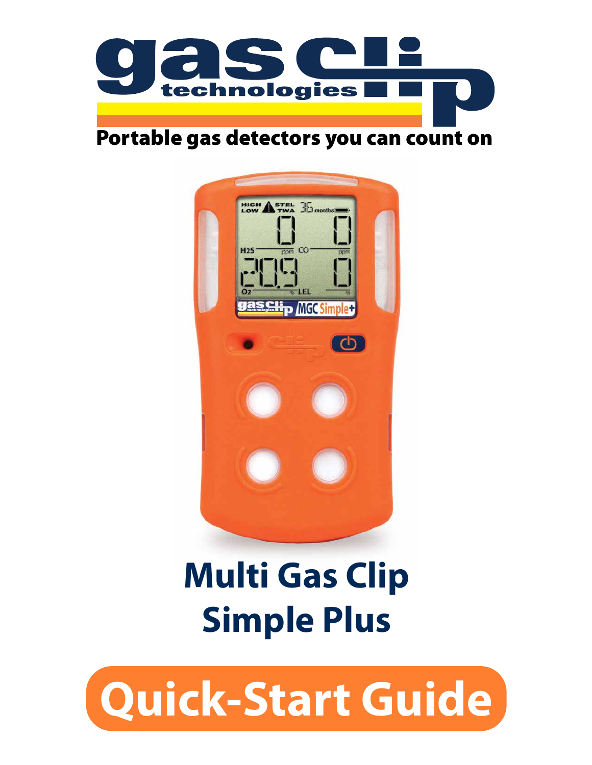

#### Portable gas detectors you can count on



# **Multi Gas Clip Simple Plus**

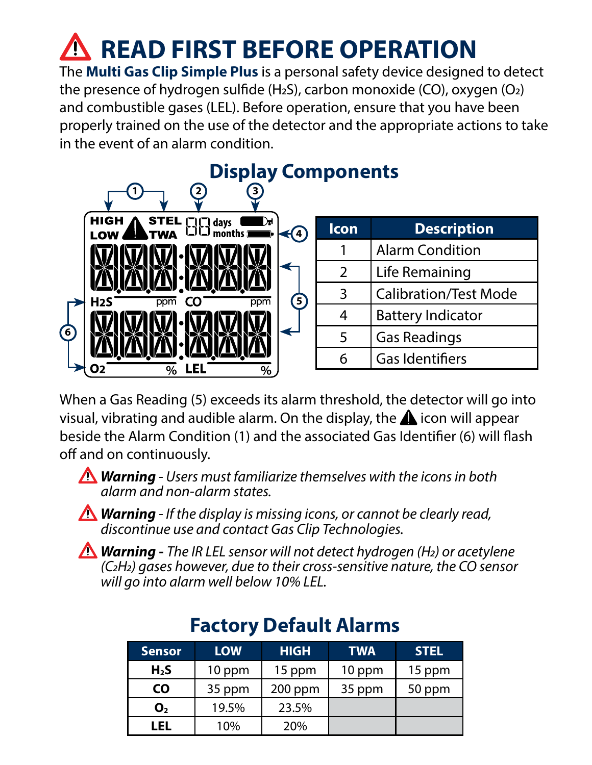# **READ FIRST BEFORE OPERATION**

The **Multi Gas Clip Simple Plus** is a personal safety device designed to detect the presence of hydrogen sulfide (H2S), carbon monoxide (CO), oxygen (O2) and combustible gases (LEL). Before operation, ensure that you have been properly trained on the use of the detector and the appropriate actions to take in the event of an alarm condition.



When a Gas Reading (5) exceeds its alarm threshold, the detector will go into visual, vibrating and audible alarm. On the display, the  $\triangle$  icon will appear beside the Alarm Condition (1) and the associated Gas Identifier (6) will flash off and on continuously.

*Warning - Users must familiarize themselves with the icons in both alarm and non-alarm states.*

*Warning - If the display is missing icons, or cannot be clearly read, discontinue use and contact Gas Clip Technologies.*

*Warning* **-** *The IR LEL sensor will not detect hydrogen (H2) or acetylene (C2H2) gases however, due to their cross-sensitive nature, the CO sensor will go into alarm well below 10% LEL.*

| <b>Sensor</b>    | <b>LOW</b> | <b>HIGH</b> | <b>TWA</b> | <b>STEL</b> |
|------------------|------------|-------------|------------|-------------|
| H <sub>2</sub> S | 10 ppm     | 15 ppm      | 10 ppm     | 15 ppm      |
| <b>CO</b>        | 35 ppm     | $200$ ppm   | 35 ppm     | 50 ppm      |
| O <sub>2</sub>   | 19.5%      | 23.5%       |            |             |
| LEL              | 10%        | 20%         |            |             |

#### **Factory Default Alarms**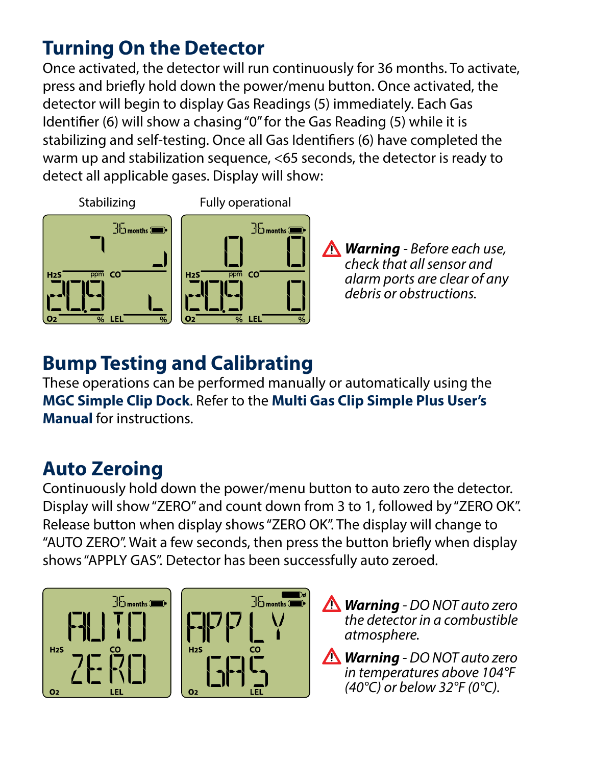# **Turning On the Detector**

Once activated, the detector will run continuously for 36 months. To activate, press and briefly hold down the power/menu button. Once activated, the detector will begin to display Gas Readings (5) immediately. Each Gas Identifier (6) will show a chasing "0" for the Gas Reading (5) while it is stabilizing and self-testing. Once all Gas Identifiers (6) have completed the warm up and stabilization sequence, <65 seconds, the detector is ready to detect all applicable gases. Display will show:



*Warning - Before each use, check that all sensor and alarm ports are clear of any debris or obstructions.*

### **Bump Testing and Calibrating**

These operations can be performed manually or automatically using the **MGC Simple Clip Dock**. Refer to the **Multi Gas Clip Simple Plus User's Manual** for instructions.

#### **Auto Zeroing**

Continuously hold down the power/menu button to auto zero the detector. Display will show "ZERO" and count down from 3 to 1, followed by "ZERO OK". Release button when display shows "ZERO OK". The display will change to "AUTO ZERO". Wait a few seconds, then press the button briefly when display shows "APPLY GAS". Detector has been successfully auto zeroed.





- *Warning DO NOT auto zero the detector in a combustible atmosphere.*
- *Warning DO NOT auto zero in temperatures above 104°F (40°C) or below 32°F (0°C).*